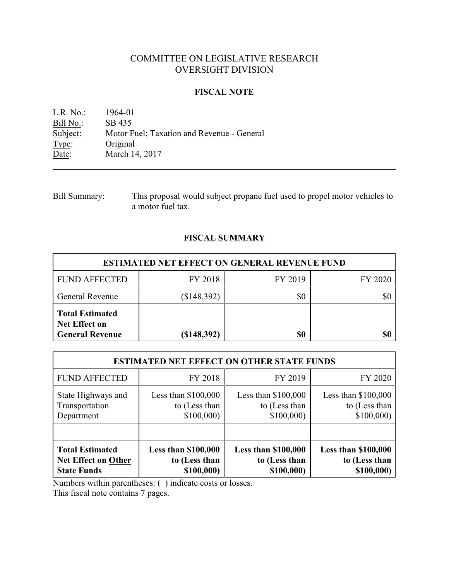# COMMITTEE ON LEGISLATIVE RESEARCH OVERSIGHT DIVISION

## **FISCAL NOTE**

L.R. No.: 1964-01 Bill No.: SB 435<br>Subject: Motor F Motor Fuel; Taxation and Revenue - General Type: Original Date: March 14, 2017

Bill Summary: This proposal would subject propane fuel used to propel motor vehicles to a motor fuel tax.

# **FISCAL SUMMARY**

| <b>ESTIMATED NET EFFECT ON GENERAL REVENUE FUND</b>                      |             |         |         |  |
|--------------------------------------------------------------------------|-------------|---------|---------|--|
| <b>FUND AFFECTED</b>                                                     | FY 2018     | FY 2019 | FY 2020 |  |
| <b>General Revenue</b>                                                   | (\$148,392) | \$0     | \$0     |  |
| <b>Total Estimated</b><br><b>Net Effect on</b><br><b>General Revenue</b> | (\$148,392) | \$0     | \$0     |  |

| <b>ESTIMATED NET EFFECT ON OTHER STATE FUNDS</b> |                            |                            |                            |  |
|--------------------------------------------------|----------------------------|----------------------------|----------------------------|--|
| <b>FUND AFFECTED</b>                             | FY 2018                    | FY 2019                    | FY 2020                    |  |
| State Highways and                               | Less than $$100,000$       | Less than $$100,000$       | Less than $$100,000$       |  |
| Transportation                                   | to (Less than              | to (Less than              | to (Less than              |  |
| Department                                       | \$100,000                  | \$100,000                  | \$100,000                  |  |
| <b>Total Estimated</b>                           | <b>Less than \$100,000</b> | <b>Less than \$100,000</b> | <b>Less than \$100,000</b> |  |
| Net Effect on Other                              | to (Less than              | to (Less than              | to (Less than              |  |
| <b>State Funds</b>                               | \$100,000)                 | \$100,000)                 | \$100,000)                 |  |

Numbers within parentheses: ( ) indicate costs or losses.

This fiscal note contains 7 pages.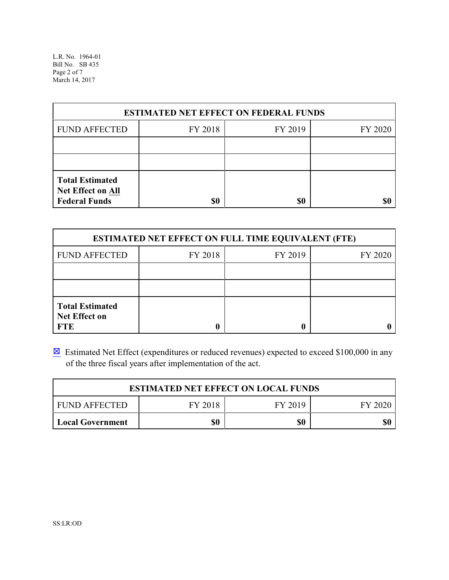L.R. No. 1964-01 Bill No. SB 435 Page 2 of 7 March 14, 2017

| <b>ESTIMATED NET EFFECT ON FEDERAL FUNDS</b>                        |         |         |         |  |
|---------------------------------------------------------------------|---------|---------|---------|--|
| <b>FUND AFFECTED</b>                                                | FY 2018 | FY 2019 | FY 2020 |  |
|                                                                     |         |         |         |  |
|                                                                     |         |         |         |  |
| <b>Total Estimated</b><br>Net Effect on All<br><b>Federal Funds</b> | \$0     | \$0     | \$0     |  |

| <b>ESTIMATED NET EFFECT ON FULL TIME EQUIVALENT (FTE)</b>    |         |         |         |  |
|--------------------------------------------------------------|---------|---------|---------|--|
| <b>FUND AFFECTED</b>                                         | FY 2018 | FY 2019 | FY 2020 |  |
|                                                              |         |         |         |  |
|                                                              |         |         |         |  |
| <b>Total Estimated</b><br><b>Net Effect on</b><br><b>FTE</b> |         |         |         |  |

**Estimated Net Effect (expenditures or reduced revenues) expected to exceed \$100,000 in any** of the three fiscal years after implementation of the act.

| <b>ESTIMATED NET EFFECT ON LOCAL FUNDS</b> |         |         |         |  |
|--------------------------------------------|---------|---------|---------|--|
| I FUND AFFECTED                            | FY 2018 | FY 2019 | FY 2020 |  |
| Local Government                           | \$0     | \$0     | \$0     |  |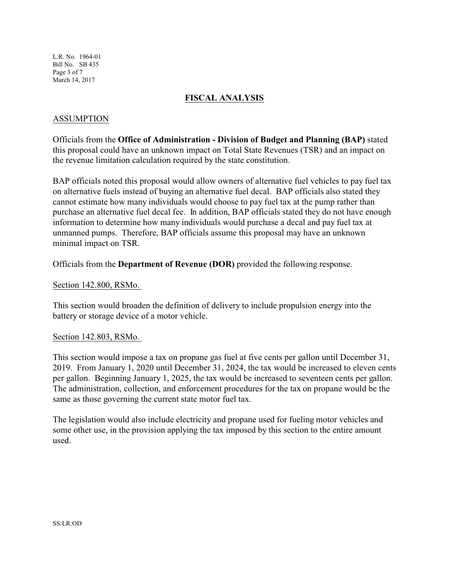L.R. No. 1964-01 Bill No. SB 435 Page 3 of 7 March 14, 2017

# **FISCAL ANALYSIS**

# ASSUMPTION

Officials from the **Office of Administration - Division of Budget and Planning (BAP)** stated this proposal could have an unknown impact on Total State Revenues (TSR) and an impact on the revenue limitation calculation required by the state constitution.

BAP officials noted this proposal would allow owners of alternative fuel vehicles to pay fuel tax on alternative fuels instead of buying an alternative fuel decal. BAP officials also stated they cannot estimate how many individuals would choose to pay fuel tax at the pump rather than purchase an alternative fuel decal fee. In addition, BAP officials stated they do not have enough information to determine how many individuals would purchase a decal and pay fuel tax at unmanned pumps. Therefore, BAP officials assume this proposal may have an unknown minimal impact on TSR.

Officials from the **Department of Revenue (DOR)** provided the following response.

#### Section 142.800, RSMo.

This section would broaden the definition of delivery to include propulsion energy into the battery or storage device of a motor vehicle.

#### Section 142.803, RSMo.

This section would impose a tax on propane gas fuel at five cents per gallon until December 31, 2019. From January 1, 2020 until December 31, 2024, the tax would be increased to eleven cents per gallon. Beginning January 1, 2025, the tax would be increased to seventeen cents per gallon. The administration, collection, and enforcement procedures for the tax on propane would be the same as those governing the current state motor fuel tax.

The legislation would also include electricity and propane used for fueling motor vehicles and some other use, in the provision applying the tax imposed by this section to the entire amount used.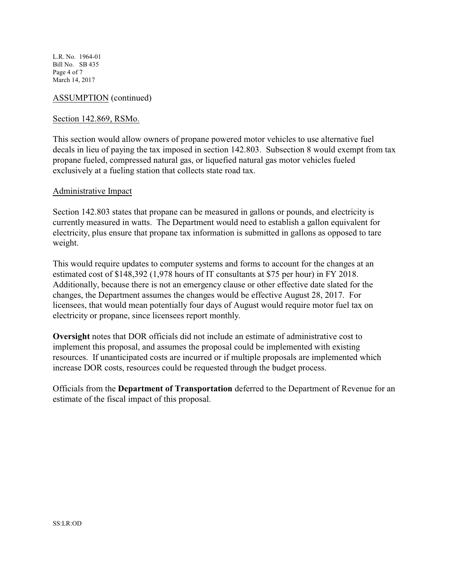L.R. No. 1964-01 Bill No. SB 435 Page 4 of 7 March 14, 2017

## ASSUMPTION (continued)

#### Section 142.869, RSMo.

This section would allow owners of propane powered motor vehicles to use alternative fuel decals in lieu of paying the tax imposed in section 142.803. Subsection 8 would exempt from tax propane fueled, compressed natural gas, or liquefied natural gas motor vehicles fueled exclusively at a fueling station that collects state road tax.

#### Administrative Impact

Section 142.803 states that propane can be measured in gallons or pounds, and electricity is currently measured in watts. The Department would need to establish a gallon equivalent for electricity, plus ensure that propane tax information is submitted in gallons as opposed to tare weight.

This would require updates to computer systems and forms to account for the changes at an estimated cost of \$148,392 (1,978 hours of IT consultants at \$75 per hour) in FY 2018. Additionally, because there is not an emergency clause or other effective date slated for the changes, the Department assumes the changes would be effective August 28, 2017. For licensees, that would mean potentially four days of August would require motor fuel tax on electricity or propane, since licensees report monthly.

**Oversight** notes that DOR officials did not include an estimate of administrative cost to implement this proposal, and assumes the proposal could be implemented with existing resources. If unanticipated costs are incurred or if multiple proposals are implemented which increase DOR costs, resources could be requested through the budget process.

Officials from the **Department of Transportation** deferred to the Department of Revenue for an estimate of the fiscal impact of this proposal.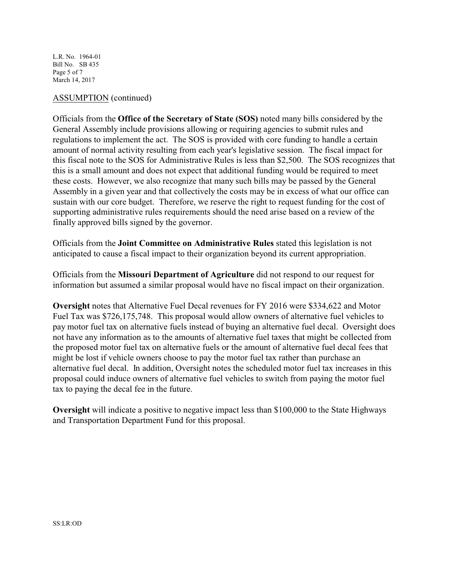L.R. No. 1964-01 Bill No. SB 435 Page 5 of 7 March 14, 2017

#### ASSUMPTION (continued)

Officials from the **Office of the Secretary of State (SOS)** noted many bills considered by the General Assembly include provisions allowing or requiring agencies to submit rules and regulations to implement the act. The SOS is provided with core funding to handle a certain amount of normal activity resulting from each year's legislative session. The fiscal impact for this fiscal note to the SOS for Administrative Rules is less than \$2,500. The SOS recognizes that this is a small amount and does not expect that additional funding would be required to meet these costs. However, we also recognize that many such bills may be passed by the General Assembly in a given year and that collectively the costs may be in excess of what our office can sustain with our core budget. Therefore, we reserve the right to request funding for the cost of supporting administrative rules requirements should the need arise based on a review of the finally approved bills signed by the governor.

Officials from the **Joint Committee on Administrative Rules** stated this legislation is not anticipated to cause a fiscal impact to their organization beyond its current appropriation.

Officials from the **Missouri Department of Agriculture** did not respond to our request for information but assumed a similar proposal would have no fiscal impact on their organization.

**Oversight** notes that Alternative Fuel Decal revenues for FY 2016 were \$334,622 and Motor Fuel Tax was \$726,175,748. This proposal would allow owners of alternative fuel vehicles to pay motor fuel tax on alternative fuels instead of buying an alternative fuel decal. Oversight does not have any information as to the amounts of alternative fuel taxes that might be collected from the proposed motor fuel tax on alternative fuels or the amount of alternative fuel decal fees that might be lost if vehicle owners choose to pay the motor fuel tax rather than purchase an alternative fuel decal. In addition, Oversight notes the scheduled motor fuel tax increases in this proposal could induce owners of alternative fuel vehicles to switch from paying the motor fuel tax to paying the decal fee in the future.

**Oversight** will indicate a positive to negative impact less than \$100,000 to the State Highways and Transportation Department Fund for this proposal.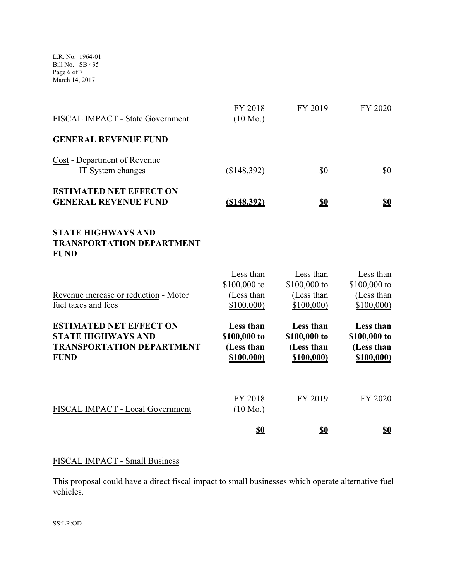L.R. No. 1964-01 Bill No. SB 435 Page 6 of 7 March 14, 2017

| FISCAL IMPACT - State Government                                                                               | FY 2018<br>$(10 \text{ Mo.})$                         | FY 2019                                               | FY 2020                                               |
|----------------------------------------------------------------------------------------------------------------|-------------------------------------------------------|-------------------------------------------------------|-------------------------------------------------------|
| <b>GENERAL REVENUE FUND</b>                                                                                    |                                                       |                                                       |                                                       |
| Cost - Department of Revenue<br>IT System changes                                                              | (\$148,392)                                           | \$0                                                   | \$0                                                   |
| <b>ESTIMATED NET EFFECT ON</b><br><b>GENERAL REVENUE FUND</b>                                                  | $($ \$148,392)                                        | <u>\$0</u>                                            | $\underline{\mathbf{S0}}$                             |
| <b>STATE HIGHWAYS AND</b><br><b>TRANSPORTATION DEPARTMENT</b><br><b>FUND</b>                                   |                                                       |                                                       |                                                       |
| Revenue increase or reduction - Motor<br>fuel taxes and fees                                                   | Less than<br>\$100,000 to<br>(Less than<br>\$100,000  | Less than<br>\$100,000 to<br>(Less than<br>\$100,000  | Less than<br>\$100,000 to<br>(Less than<br>\$100,000  |
| <b>ESTIMATED NET EFFECT ON</b><br><b>STATE HIGHWAYS AND</b><br><b>TRANSPORTATION DEPARTMENT</b><br><b>FUND</b> | Less than<br>\$100,000 to<br>(Less than<br>\$100,000) | Less than<br>\$100,000 to<br>(Less than<br>\$100,000) | Less than<br>\$100,000 to<br>(Less than<br>\$100,000) |
| FISCAL IMPACT - Local Government                                                                               | FY 2018<br>$(10 \text{ Mo.})$                         | FY 2019                                               | FY 2020                                               |
|                                                                                                                | <u>\$0</u>                                            | <u>\$0</u>                                            | <u>\$0</u>                                            |

# FISCAL IMPACT - Small Business

This proposal could have a direct fiscal impact to small businesses which operate alternative fuel vehicles.